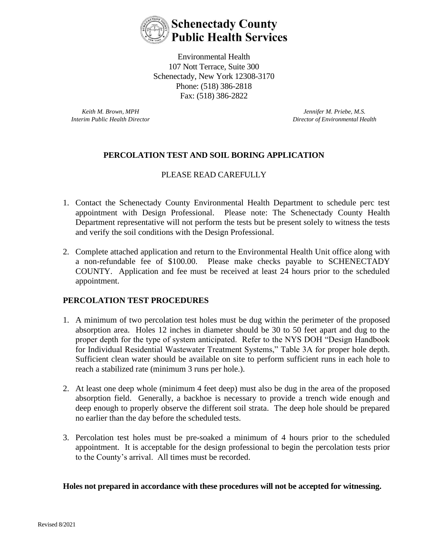

Environmental Health 107 Nott Terrace, Suite 300 Schenectady, New York 12308-3170 Phone: (518) 386-2818 Fax: (518) 386-2822

*Keith M. Brown, MPH Interim Public Health Director*

*Jennifer M. Priebe, M.S. Director of Environmental Health*

## **PERCOLATION TEST AND SOIL BORING APPLICATION**

### PLEASE READ CAREFULLY

- 1. Contact the Schenectady County Environmental Health Department to schedule perc test appointment with Design Professional. Please note: The Schenectady County Health Department representative will not perform the tests but be present solely to witness the tests and verify the soil conditions with the Design Professional.
- 2. Complete attached application and return to the Environmental Health Unit office along with a non-refundable fee of \$100.00. Please make checks payable to SCHENECTADY COUNTY. Application and fee must be received at least 24 hours prior to the scheduled appointment.

#### **PERCOLATION TEST PROCEDURES**

- 1. A minimum of two percolation test holes must be dug within the perimeter of the proposed absorption area. Holes 12 inches in diameter should be 30 to 50 feet apart and dug to the proper depth for the type of system anticipated. Refer to the NYS DOH "Design Handbook for Individual Residential Wastewater Treatment Systems," Table 3A for proper hole depth. Sufficient clean water should be available on site to perform sufficient runs in each hole to reach a stabilized rate (minimum 3 runs per hole.).
- 2. At least one deep whole (minimum 4 feet deep) must also be dug in the area of the proposed absorption field. Generally, a backhoe is necessary to provide a trench wide enough and deep enough to properly observe the different soil strata. The deep hole should be prepared no earlier than the day before the scheduled tests.
- 3. Percolation test holes must be pre-soaked a minimum of 4 hours prior to the scheduled appointment. It is acceptable for the design professional to begin the percolation tests prior to the County's arrival. All times must be recorded.

#### **Holes not prepared in accordance with these procedures will not be accepted for witnessing.**